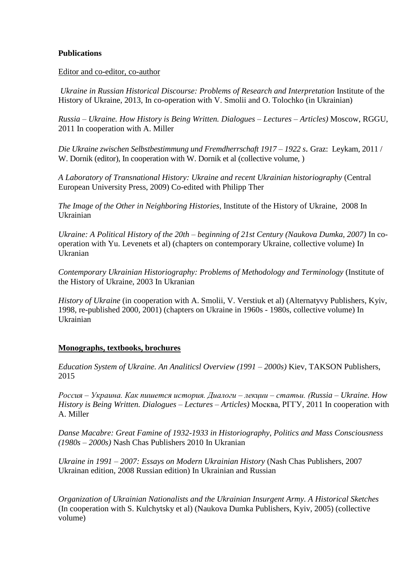## **Publications**

Editor and co-editor, co-author

*Ukraine in Russian Historical Discourse: Problems of Research and Interpretation* Institute of the History of Ukraine, 2013, In co-operation with V. Smolii and O. Tolochko (in Ukrainian)

*Russia – Ukraine. How History is Being Written. Dialogues – Lectures – Articles)* Moscow, RGGU, 2011 In cooperation with A. Miller

*Die Ukraine zwischen Selbstbestimmung und Fremdherrschaft 1917 – 1922 s*. Graz: Leykam, 2011 / W. Dornik (editor), In cooperation with W. Dornik et al (collective volume, )

*A Laboratory of Transnational History: Ukraine and recent Ukrainian historiography* (Central European University Press, 2009) Co-edited with Philipp Ther

*The Image of the Other in Neighboring Histories*, Institute of the History of Ukraine, 2008 In Ukrainian

*Ukraine: A Political History of the 20th – beginning of 21st Century (Naukova Dumka, 2007)* In cooperation with Yu. Levenets et al) (chapters on contemporary Ukraine, collective volume) In Ukranian

*Contemporary Ukrainian Historiography: Problems of Methodology and Terminology* (Institute of the History of Ukraine, 2003 In Ukranian

*History of Ukraine* (in cooperation with A. Smolii, V. Verstiuk et al) (Alternatyvy Publishers, Kyiv, 1998, re-published 2000, 2001) (chapters on Ukraine in 1960s - 1980s, collective volume) In Ukrainian

## **Monographs, textbooks, brochures**

*Education System of Ukraine. An Analiticsl Overview (1991 – 2000s)* Kiev, TAKSON Publishers, 2015

*Россия – Украина. Как пишется история. Диалоги – лекции – статьи. (Russia – Ukraine. How History is Being Written. Dialogues – Lectures – Articles)* Москва, РГГУ, 2011 In cooperation with A. Miller

*Danse Macabre: Great Famine of 1932-1933 in Historiography, Politics and Mass Consciousness (1980s – 2000s)* Nash Chas Publishers 2010 In Ukranian

*Ukraine in 1991 – 2007: Essays on Modern Ukrainian History* (Nash Chas Publishers, 2007 Ukrainan edition, 2008 Russian edition) In Ukrainian and Russian

*Organization of Ukrainian Nationalists and the Ukrainian Insurgent Army. A Historical Sketches* (In cooperation with S. Kulchytsky et al) (Naukova Dumka Publishers, Kyiv, 2005) (collective volume)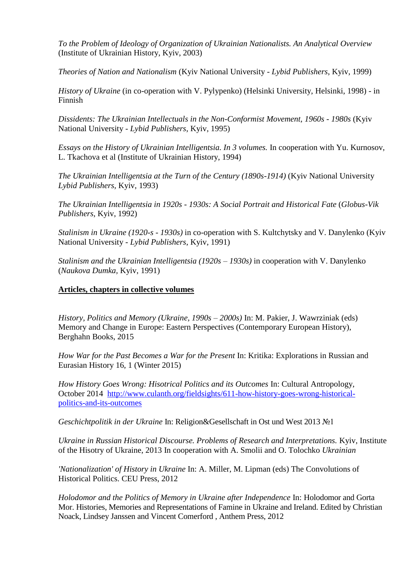*To the Problem of Ideology of Organization of Ukrainian Nationalists. An Analytical Overview*  (Institute of Ukrainian History, Kyiv, 2003)

*Theories of Nation and Nationalism* (Kyiv National University - *Lybid Publishers*, Kyiv, 1999)

*History of Ukraine* (in co-operation with V. Pylypenko) (Helsinki University, Helsinki, 1998) - in Finnish

*Dissidents: The Ukrainian Intellectuals in the Non-Conformist Movement, 1960s - 1980s* (Kyiv National University - *Lybid Publishers*, Kyiv, 1995)

*Essays on the History of Ukrainian Intelligentsia. In 3 volumes.* In cooperation with Yu. Kurnosov, L. Tkachova et al (Institute of Ukrainian History, 1994)

The Ukrainian Intelligentsia at the Turn of the Century (1890s-1914) (Kyiv National University *Lybid Publishers,* Kyiv, 1993)

*The Ukrainian Intelligentsia in 1920s - 1930s: A Social Portrait and Historical Fate* (*Globus-Vik Publishers*, Kyiv, 1992)

*Stalinism in Ukraine (1920-s - 1930s)* in co-operation with S. Kultchytsky and V. Danylenko (Kyiv National University - *Lybid Publishers*, Kyiv, 1991)

*Stalinism and the Ukrainian Intelligentsia (1920s – 1930s)* in cooperation with V. Danylenko (*Naukova Dumka,* Kyiv, 1991)

## **Articles, chapters in collective volumes**

*History, Politics and Memory (Ukraine, 1990s – 2000s)* In: M. Pakier, J. Wawrziniak (eds) Memory and Change in Europe: Eastern Perspectives (Contemporary European History), Berghahn Books, 2015

*How War for the Past Becomes a War for the Present* In: Kritika: Explorations in Russian and Eurasian History 16, 1 (Winter 2015)

*How History Goes Wrong: Hisotrical Politics and its Outcomes* In: Cultural Antropology, October 2014 [http://www.culanth.org/fieldsights/611-how-history-goes-wrong-historical](http://www.culanth.org/fieldsights/611-how-history-goes-wrong-historical-politics-and-its-outcomes)[politics-and-its-outcomes](http://www.culanth.org/fieldsights/611-how-history-goes-wrong-historical-politics-and-its-outcomes)

*Geschichtpolitik in der Ukraine* In: Religion&Gesellschaft in Ost und West 2013 №1

*Ukraine in Russian Historical Discourse. Problems of Research and Interpretations.* Kyiv, Institute of the Hisotry of Ukraine, 2013 In cooperation with A. Smolii and O. Tolochko *Ukrainian*

*'Nationalization' of History in Ukraine* In: A. Miller, M. Lipman (eds) The Convolutions of Historical Politics. CEU Press, 2012

*Holodomor and the Politics of Memory in Ukraine after Independence* In: Holodomor and Gorta Mor. Histories, Memories and Representations of Famine in Ukraine and Ireland. Edited by Christian Noack, Lindsey Janssen and Vincent Comerford , Anthem Press, 2012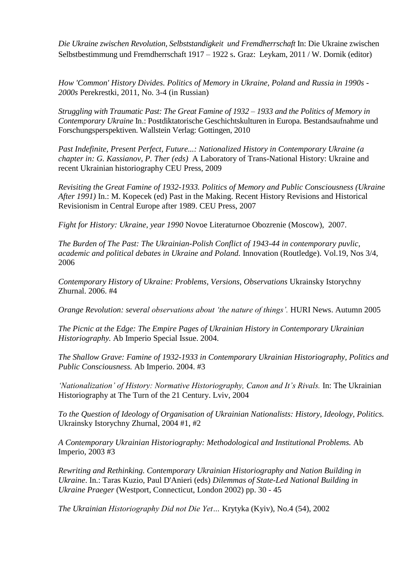*Die Ukraine zwischen Revolution, Selbststandigkeit und Fremdherrschaft* In: Die Ukraine zwischen Selbstbestimmung und Fremdherrschaft 1917 – 1922 s. Graz: Leykam, 2011 / W. Dornik (editor)

*How 'Common' History Divides. Politics of Memory in Ukraine, Poland and Russia in 1990s - 2000s* Perekrestki, 2011, No. 3-4 (in Russian)

*Struggling with Traumatic Past: The Great Famine of 1932 – 1933 and the Politics of Memory in Contemporary Ukraine* In.: Postdiktatorische Geschichtskulturen in Europa. Bestandsaufnahme und Forschungsperspektiven. Wallstein Verlag: Gottingen, 2010

*Past Indefinite, Present Perfect, Future...: Nationalized History in Contemporary Ukraine (a chapter in: G. Kassianov, P. Ther (eds)* A Laboratory of Trans-National History: Ukraine and recent Ukrainian historiography CEU Press, 2009

*Revisiting the Great Famine of 1932-1933. Politics of Memory and Public Consciousness (Ukraine After 1991)* In.: M. Kopecek (ed) Past in the Making. Recent History Revisions and Historical Revisionism in Central Europe after 1989. CEU Press, 2007

*Fight for History: Ukraine, year 1990* Novoe Literaturnoe Obozrenie (Moscow), 2007.

*The Burden of The Past: The Ukrainian-Polish Conflict of 1943-44 in contemporary puvlic, academic and political debates in Ukraine and Poland.* Innovation (Routledge). Vol.19, Nos 3/4, 2006

*Contemporary History of Ukraine: Problems, Versions, Observations* Ukrainsky Istorychny Zhurnal. 2006. #4

*Orange Revolution: several observations about 'the nature of things'.* HURI News. Autumn 2005

*The Picnic at the Edge: The Empire Pages of Ukrainian History in Contemporary Ukrainian Historiography.* Ab Imperio Special Issue. 2004.

*The Shallow Grave: Famine of 1932-1933 in Contemporary Ukrainian Historiography, Politics and Public Consciousness.* Ab Imperio. 2004. #3

*'Nationalization' of History: Normative Historiography, Canon and It's Rivals. In: The Ukrainian* Historiography at The Turn of the 21 Century. Lviv, 2004

*To the Question of Ideology of Organisation of Ukrainian Nationalists: History, Ideology, Politics.*  Ukrainsky Istorychny Zhurnal, 2004 #1, #2

*A Contemporary Ukrainian Historiography: Methodological and Institutional Problems.* Ab Imperio, 2003 #3

*Rewriting and Rethinking. Contemporary Ukrainian Historiography and Nation Building in Ukraine*. In.: Taras Kuzio, Paul D'Anieri (eds) *Dilemmas of State-Led National Building in Ukraine Praeger* (Westport, Connecticut, London 2002) pp. 30 - 45

*The Ukrainian Historiography Did not Die Yet…* Krytyka (Kyiv), No.4 (54), 2002